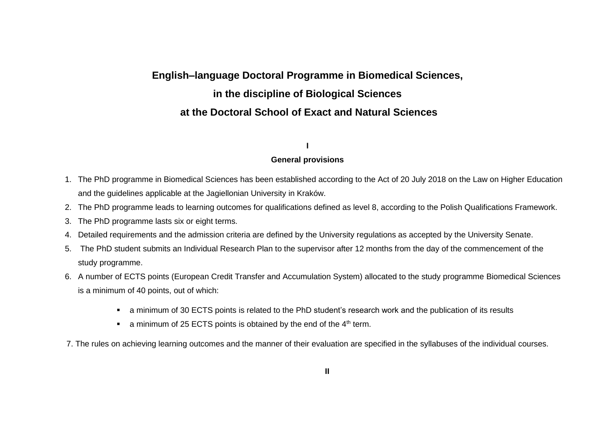# **English–language Doctoral Programme in Biomedical Sciences, in the discipline of Biological Sciences at the Doctoral School of Exact and Natural Sciences**

# **I**

### **General provisions**

- 1. The PhD programme in Biomedical Sciences has been established according to the Act of 20 July 2018 on the Law on Higher Education and the guidelines applicable at the Jagiellonian University in Kraków.
- 2. The PhD programme leads to learning outcomes for qualifications defined as level 8, according to the Polish Qualifications Framework.
- 3. The PhD programme lasts six or eight terms.
- 4. Detailed requirements and the admission criteria are defined by the University regulations as accepted by the University Senate.
- 5. The PhD student submits an Individual Research Plan to the supervisor after 12 months from the day of the commencement of the study programme.
- 6. A number of ECTS points (European Credit Transfer and Accumulation System) allocated to the study programme Biomedical Sciences is a minimum of 40 points, out of which:
	- a minimum of 30 ECTS points is related to the PhD student's research work and the publication of its results
	- **•** a minimum of 25 ECTS points is obtained by the end of the  $4<sup>th</sup>$  term.
- 7. The rules on achieving learning outcomes and the manner of their evaluation are specified in the syllabuses of the individual courses.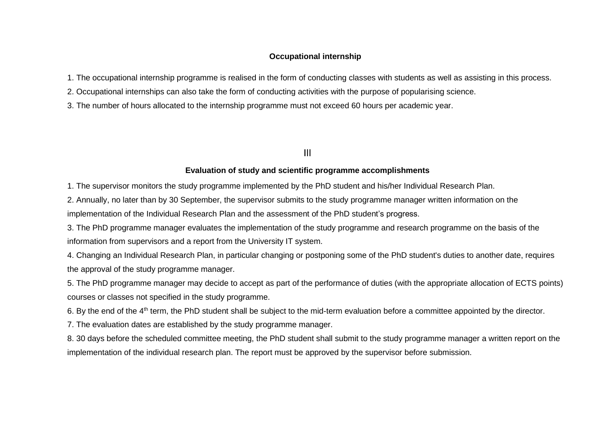#### **Occupational internship**

1. The occupational internship programme is realised in the form of conducting classes with students as well as assisting in this process.

2. Occupational internships can also take the form of conducting activities with the purpose of popularising science.

3. The number of hours allocated to the internship programme must not exceed 60 hours per academic year.

## III

#### **Evaluation of study and scientific programme accomplishments**

1. The supervisor monitors the study programme implemented by the PhD student and his/her Individual Research Plan.

2. Annually, no later than by 30 September, the supervisor submits to the study programme manager written information on the implementation of the Individual Research Plan and the assessment of the PhD student's progress.

3. The PhD programme manager evaluates the implementation of the study programme and research programme on the basis of the information from supervisors and a report from the University IT system.

4. Changing an Individual Research Plan, in particular changing or postponing some of the PhD student's duties to another date, requires the approval of the study programme manager.

5. The PhD programme manager may decide to accept as part of the performance of duties (with the appropriate allocation of ECTS points) courses or classes not specified in the study programme.

6. By the end of the 4th term, the PhD student shall be subject to the mid-term evaluation before a committee appointed by the director.

7. The evaluation dates are established by the study programme manager.

8. 30 days before the scheduled committee meeting, the PhD student shall submit to the study programme manager a written report on the implementation of the individual research plan. The report must be approved by the supervisor before submission.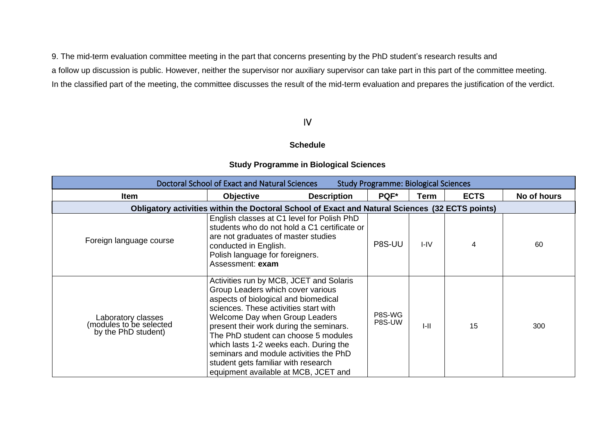9. The mid-term evaluation committee meeting in the part that concerns presenting by the PhD student's research results and a follow up discussion is public. However, neither the supervisor nor auxiliary supervisor can take part in this part of the committee meeting. In the classified part of the meeting, the committee discusses the result of the mid-term evaluation and prepares the justification of the verdict.

# IV

#### **Schedule**

|  |  |  | <b>Study Programme in Biological Sciences</b> |  |
|--|--|--|-----------------------------------------------|--|
|  |  |  |                                               |  |

| Doctoral School of Exact and Natural Sciences<br><b>Study Programme: Biological Sciences</b> |                                                                                                                                                                                                                                                                                                                                                                                                                                                       |                                              |                  |          |             |             |  |
|----------------------------------------------------------------------------------------------|-------------------------------------------------------------------------------------------------------------------------------------------------------------------------------------------------------------------------------------------------------------------------------------------------------------------------------------------------------------------------------------------------------------------------------------------------------|----------------------------------------------|------------------|----------|-------------|-------------|--|
| <b>Item</b>                                                                                  | <b>Objective</b>                                                                                                                                                                                                                                                                                                                                                                                                                                      | <b>Description</b>                           | PQF*             | Term     | <b>ECTS</b> | No of hours |  |
|                                                                                              | Obligatory activities within the Doctoral School of Exact and Natural Sciences (32 ECTS points)                                                                                                                                                                                                                                                                                                                                                       |                                              |                  |          |             |             |  |
| Foreign language course                                                                      | English classes at C1 level for Polish PhD<br>are not graduates of master studies<br>conducted in English.<br>Polish language for foreigners.<br>Assessment: exam                                                                                                                                                                                                                                                                                     | students who do not hold a C1 certificate or | P8S-UU           | $I - IV$ | 4           | 60          |  |
| Laboratory classes<br>(modules to be selected<br>by the PhD student)                         | Activities run by MCB, JCET and Solaris<br>Group Leaders which cover various<br>aspects of biological and biomedical<br>sciences. These activities start with<br>Welcome Day when Group Leaders<br>present their work during the seminars.<br>The PhD student can choose 5 modules<br>which lasts 1-2 weeks each. During the<br>seminars and module activities the PhD<br>student gets familiar with research<br>equipment available at MCB, JCET and |                                              | P8S-WG<br>P8S-UW | $I-II$   | 15          | 300         |  |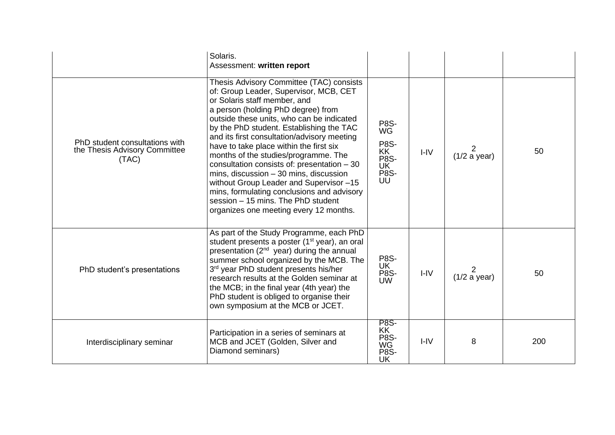|                                                                          | Solaris.<br>Assessment: written report                                                                                                                                                                                                                                                                                                                                                                                                                                                                                                                                                                                                                |                                                                                  |          |                   |     |
|--------------------------------------------------------------------------|-------------------------------------------------------------------------------------------------------------------------------------------------------------------------------------------------------------------------------------------------------------------------------------------------------------------------------------------------------------------------------------------------------------------------------------------------------------------------------------------------------------------------------------------------------------------------------------------------------------------------------------------------------|----------------------------------------------------------------------------------|----------|-------------------|-----|
| PhD student consultations with<br>the Thesis Advisory Committee<br>(TAC) | Thesis Advisory Committee (TAC) consists<br>of: Group Leader, Supervisor, MCB, CET<br>or Solaris staff member, and<br>a person (holding PhD degree) from<br>outside these units, who can be indicated<br>by the PhD student. Establishing the TAC<br>and its first consultation/advisory meeting<br>have to take place within the first six<br>months of the studies/programme. The<br>consultation consists of: presentation - 30<br>mins, discussion $-30$ mins, discussion<br>without Group Leader and Supervisor-15<br>mins, formulating conclusions and advisory<br>session - 15 mins. The PhD student<br>organizes one meeting every 12 months. | P8S-<br>WG<br><b>P8S-</b><br><b>KK</b><br><b>P8S-</b><br>UK<br><b>P8S-</b><br>UU | $I - IV$ | 2<br>(1/2 a year) | 50  |
| PhD student's presentations                                              | As part of the Study Programme, each PhD<br>student presents a poster (1 <sup>st</sup> year), an oral<br>presentation (2 <sup>nd</sup> year) during the annual<br>summer school organized by the MCB. The<br>3rd year PhD student presents his/her<br>research results at the Golden seminar at<br>the MCB; in the final year (4th year) the<br>PhD student is obliged to organise their<br>own symposium at the MCB or JCET.                                                                                                                                                                                                                         | <b>P8S-</b><br>UK<br>P8S-<br><b>UW</b>                                           | $I - IV$ | (1/2 a year)      | 50  |
| Interdisciplinary seminar                                                | Participation in a series of seminars at<br>MCB and JCET (Golden, Silver and<br>Diamond seminars)                                                                                                                                                                                                                                                                                                                                                                                                                                                                                                                                                     | <b>P8S-</b><br>KK<br>P8S-<br>WG<br><b>P8S-</b><br>UK                             | $I - IV$ | 8                 | 200 |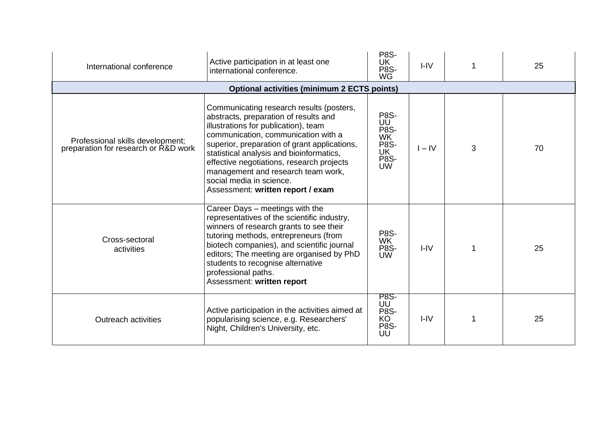| International conference                                                 | Active participation in at least one<br>international conference.                                                                                                                                                                                                                                                                                                                                                | <b>P8S-</b><br>UK<br>P8S-<br>WG                                                  | $I - IV$ |   | 25 |  |  |  |  |
|--------------------------------------------------------------------------|------------------------------------------------------------------------------------------------------------------------------------------------------------------------------------------------------------------------------------------------------------------------------------------------------------------------------------------------------------------------------------------------------------------|----------------------------------------------------------------------------------|----------|---|----|--|--|--|--|
| <b>Optional activities (minimum 2 ECTS points)</b>                       |                                                                                                                                                                                                                                                                                                                                                                                                                  |                                                                                  |          |   |    |  |  |  |  |
| Professional skills development;<br>preparation for research or R&D work | Communicating research results (posters,<br>abstracts, preparation of results and<br>illustrations for publication), team<br>communication, communication with a<br>superior, preparation of grant applications,<br>statistical analysis and bioinformatics,<br>effective negotiations, research projects<br>management and research team work,<br>social media in science.<br>Assessment: written report / exam | <b>P8S-</b><br>UU<br><b>P8S-</b><br><b>WK</b><br>P8S-<br>UK<br>P8S-<br><b>UW</b> | $I - IV$ | 3 | 70 |  |  |  |  |
| Cross-sectoral<br>activities                                             | Career Days - meetings with the<br>representatives of the scientific industry,<br>winners of research grants to see their<br>tutoring methods, entrepreneurs (from<br>biotech companies), and scientific journal<br>editors; The meeting are organised by PhD<br>students to recognise alternative<br>professional paths.<br>Assessment: written report                                                          | P8S-<br><b>WK</b><br><b>P8S-</b><br><b>UW</b>                                    | $I - IV$ |   | 25 |  |  |  |  |
| <b>Outreach activities</b>                                               | Active participation in the activities aimed at<br>popularising science, e.g. Researchers'<br>Night, Children's University, etc.                                                                                                                                                                                                                                                                                 | <b>P8S-</b><br>UU<br><b>P8S-</b><br>KO<br>P8S-<br>UU                             | $I - IV$ |   | 25 |  |  |  |  |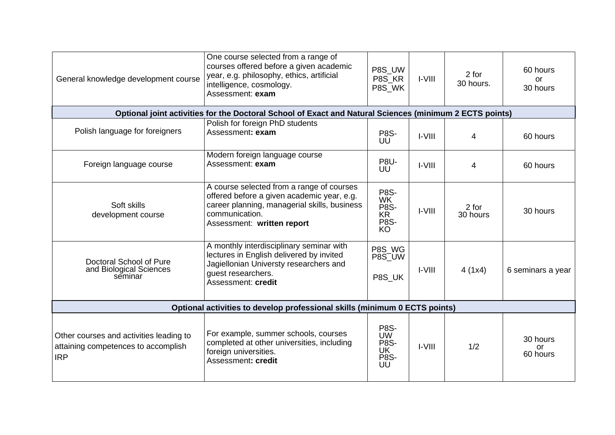| General knowledge development course                                                                    | One course selected from a range of<br>courses offered before a given academic<br>year, e.g. philosophy, ethics, artificial<br>intelligence, cosmology.<br>Assessment: exam             | P8S UW<br>P8S KR<br>P8S WK                                               | $I-VIII$      | 2 for<br>30 hours. | 60 hours<br><b>or</b><br>30 hours |  |  |  |  |  |
|---------------------------------------------------------------------------------------------------------|-----------------------------------------------------------------------------------------------------------------------------------------------------------------------------------------|--------------------------------------------------------------------------|---------------|--------------------|-----------------------------------|--|--|--|--|--|
| Optional joint activities for the Doctoral School of Exact and Natural Sciences (minimum 2 ECTS points) |                                                                                                                                                                                         |                                                                          |               |                    |                                   |  |  |  |  |  |
| Polish language for foreigners                                                                          | Polish for foreign PhD students<br>Assessment: exam                                                                                                                                     | P8S-<br>UŪ                                                               | <b>I-VIII</b> | 4                  | 60 hours                          |  |  |  |  |  |
| Foreign language course                                                                                 | Modern foreign language course<br>Assessment: exam                                                                                                                                      | <b>P8U-</b><br>UU                                                        | $I-VIII$      | 4                  | 60 hours                          |  |  |  |  |  |
| Soft skills<br>development course                                                                       | A course selected from a range of courses<br>offered before a given academic year, e.g.<br>career planning, managerial skills, business<br>communication.<br>Assessment: written report | <b>P8S-</b><br>WK<br>P8S-<br>KR<br>P8S-<br>KO                            | I-VIII        | 2 for<br>30 hours  | 30 hours                          |  |  |  |  |  |
| Doctoral School of Pure<br>and Biological Sciences<br>seminar                                           | A monthly interdisciplinary seminar with<br>lectures in English delivered by invited<br>Jagiellonian Universty researchers and<br>guest researchers.<br>Assessment: credit              | P8S_WG<br>P8S_UW<br>P8S UK                                               | $I-VIII$      | 4(1x4)             | 6 seminars a year                 |  |  |  |  |  |
| Optional activities to develop professional skills (minimum 0 ECTS points)                              |                                                                                                                                                                                         |                                                                          |               |                    |                                   |  |  |  |  |  |
| Other courses and activities leading to<br>attaining competences to accomplish<br><b>IRP</b>            | For example, summer schools, courses<br>completed at other universities, including<br>foreign universities.<br>Assessment: credit                                                       | <b>P8S-</b><br><b>UW</b><br>P8S-<br>UK <sup>T</sup><br><b>P8S-</b><br>UU | <b>I-VIII</b> | 1/2                | 30 hours<br>or<br>60 hours        |  |  |  |  |  |